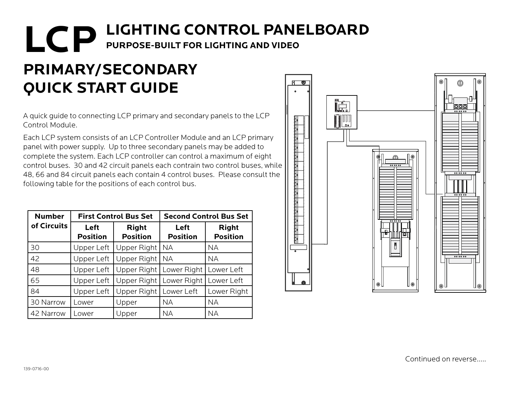## **LCP** LIGHTING CONTROL PANELBOARD **PURPOSE-BUILT FOR LIGHTING AND VIDEO**

## **PRIMARY/SECONDARY QUICK START GUIDE**

A quick guide to connecting LCP primary and secondary panels to the LCP Control Module.

Each LCP system consists of an LCP Controller Module and an LCP primary panel with power supply. Up to three secondary panels may be added to complete the system. Each LCP controller can control a maximum of eight control buses. 30 and 42 circuit panels each contrain two control buses, while 48, 66 and 84 circuit panels each contain 4 control buses. Please consult the following table for the positions of each control bus.

| <b>Number</b> | <b>First Control Bus Set</b> |                                 | <b>Second Control Bus Set</b> |                                 |
|---------------|------------------------------|---------------------------------|-------------------------------|---------------------------------|
| of Circuits   | Left<br><b>Position</b>      | <b>Right</b><br><b>Position</b> | Left<br><b>Position</b>       | <b>Right</b><br><b>Position</b> |
| 30            | Upper Left                   | Upper Right                     | <b>NA</b>                     | <b>NA</b>                       |
| 42            | Upper Left                   | Upper Right                     | <b>NA</b>                     | <b>NA</b>                       |
| 48            | Upper Left                   | Upper Right                     | Lower Right                   | Lower Left                      |
| 65            | Upper Left                   | Upper Right                     | Lower Right                   | Lower Left                      |
| 84            | Upper Left                   | Upper Right                     | Lower Left                    | Lower Right                     |
| 30 Narrow     | Lower                        | Upper                           | <b>NA</b>                     | <b>NA</b>                       |
| 42 Narrow     | Lower                        | Upper                           | <b>NA</b>                     | <b>NA</b>                       |